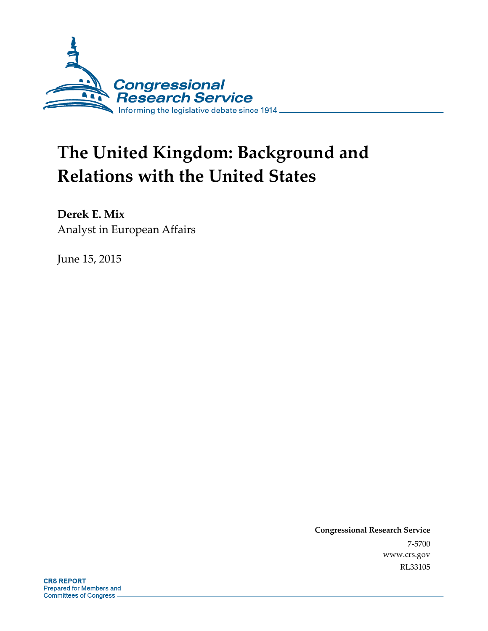

# **The United Kingdom: Background and Relations with the United States**

**Derek E. Mix**  Analyst in European Affairs

June 15, 2015

**Congressional Research Service**  7-5700 www.crs.gov RL33105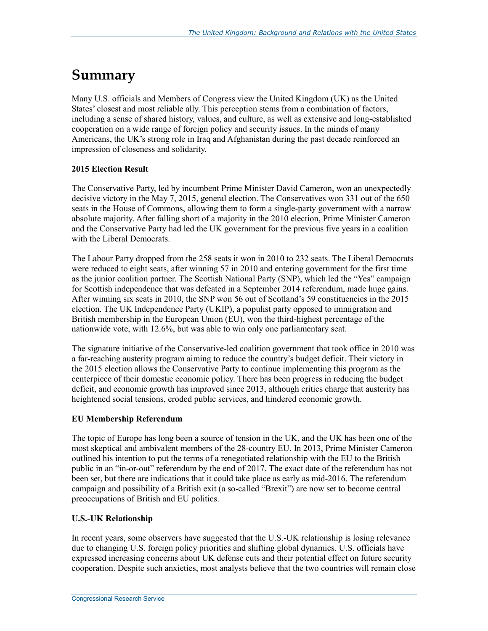### **Summary**

Many U.S. officials and Members of Congress view the United Kingdom (UK) as the United States' closest and most reliable ally. This perception stems from a combination of factors, including a sense of shared history, values, and culture, as well as extensive and long-established cooperation on a wide range of foreign policy and security issues. In the minds of many Americans, the UK's strong role in Iraq and Afghanistan during the past decade reinforced an impression of closeness and solidarity.

#### **2015 Election Result**

The Conservative Party, led by incumbent Prime Minister David Cameron, won an unexpectedly decisive victory in the May 7, 2015, general election. The Conservatives won 331 out of the 650 seats in the House of Commons, allowing them to form a single-party government with a narrow absolute majority. After falling short of a majority in the 2010 election, Prime Minister Cameron and the Conservative Party had led the UK government for the previous five years in a coalition with the Liberal Democrats.

The Labour Party dropped from the 258 seats it won in 2010 to 232 seats. The Liberal Democrats were reduced to eight seats, after winning 57 in 2010 and entering government for the first time as the junior coalition partner. The Scottish National Party (SNP), which led the "Yes" campaign for Scottish independence that was defeated in a September 2014 referendum, made huge gains. After winning six seats in 2010, the SNP won 56 out of Scotland's 59 constituencies in the 2015 election. The UK Independence Party (UKIP), a populist party opposed to immigration and British membership in the European Union (EU), won the third-highest percentage of the nationwide vote, with 12.6%, but was able to win only one parliamentary seat.

The signature initiative of the Conservative-led coalition government that took office in 2010 was a far-reaching austerity program aiming to reduce the country's budget deficit. Their victory in the 2015 election allows the Conservative Party to continue implementing this program as the centerpiece of their domestic economic policy. There has been progress in reducing the budget deficit, and economic growth has improved since 2013, although critics charge that austerity has heightened social tensions, eroded public services, and hindered economic growth.

#### **EU Membership Referendum**

The topic of Europe has long been a source of tension in the UK, and the UK has been one of the most skeptical and ambivalent members of the 28-country EU. In 2013, Prime Minister Cameron outlined his intention to put the terms of a renegotiated relationship with the EU to the British public in an "in-or-out" referendum by the end of 2017. The exact date of the referendum has not been set, but there are indications that it could take place as early as mid-2016. The referendum campaign and possibility of a British exit (a so-called "Brexit") are now set to become central preoccupations of British and EU politics.

#### **U.S.-UK Relationship**

In recent years, some observers have suggested that the U.S.-UK relationship is losing relevance due to changing U.S. foreign policy priorities and shifting global dynamics. U.S. officials have expressed increasing concerns about UK defense cuts and their potential effect on future security cooperation. Despite such anxieties, most analysts believe that the two countries will remain close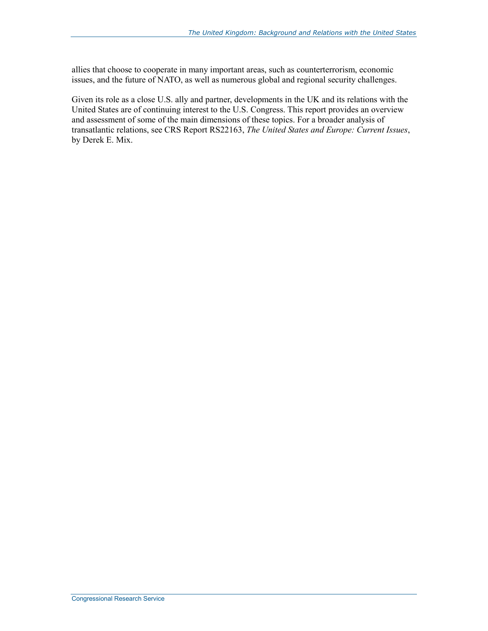allies that choose to cooperate in many important areas, such as counterterrorism, economic issues, and the future of NATO, as well as numerous global and regional security challenges.

Given its role as a close U.S. ally and partner, developments in the UK and its relations with the United States are of continuing interest to the U.S. Congress. This report provides an overview and assessment of some of the main dimensions of these topics. For a broader analysis of transatlantic relations, see CRS Report RS22163, *The United States and Europe: Current Issues*, by Derek E. Mix.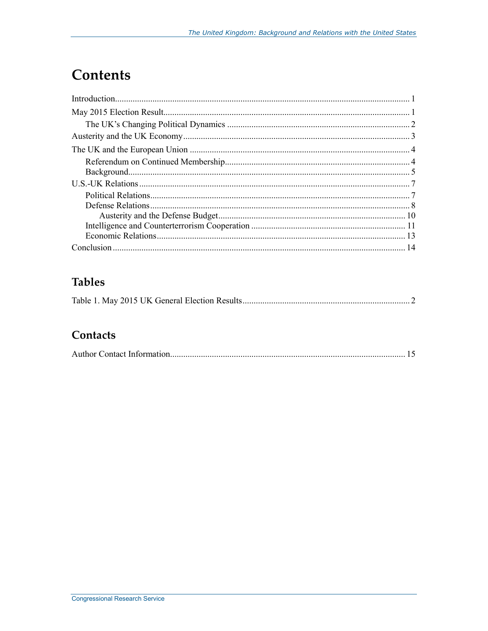## **Contents**

### **Tables**

|--|--|

### Contacts

|--|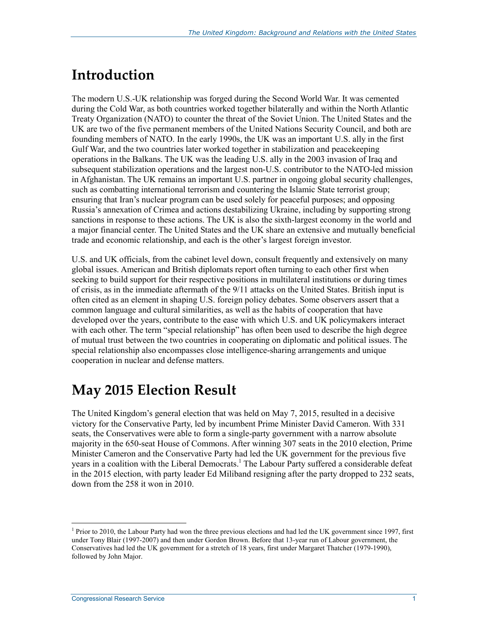# **Introduction**

The modern U.S.-UK relationship was forged during the Second World War. It was cemented during the Cold War, as both countries worked together bilaterally and within the North Atlantic Treaty Organization (NATO) to counter the threat of the Soviet Union. The United States and the UK are two of the five permanent members of the United Nations Security Council, and both are founding members of NATO. In the early 1990s, the UK was an important U.S. ally in the first Gulf War, and the two countries later worked together in stabilization and peacekeeping operations in the Balkans. The UK was the leading U.S. ally in the 2003 invasion of Iraq and subsequent stabilization operations and the largest non-U.S. contributor to the NATO-led mission in Afghanistan. The UK remains an important U.S. partner in ongoing global security challenges, such as combatting international terrorism and countering the Islamic State terrorist group; ensuring that Iran's nuclear program can be used solely for peaceful purposes; and opposing Russia's annexation of Crimea and actions destabilizing Ukraine, including by supporting strong sanctions in response to these actions. The UK is also the sixth-largest economy in the world and a major financial center. The United States and the UK share an extensive and mutually beneficial trade and economic relationship, and each is the other's largest foreign investor.

U.S. and UK officials, from the cabinet level down, consult frequently and extensively on many global issues. American and British diplomats report often turning to each other first when seeking to build support for their respective positions in multilateral institutions or during times of crisis, as in the immediate aftermath of the 9/11 attacks on the United States. British input is often cited as an element in shaping U.S. foreign policy debates. Some observers assert that a common language and cultural similarities, as well as the habits of cooperation that have developed over the years, contribute to the ease with which U.S. and UK policymakers interact with each other. The term "special relationship" has often been used to describe the high degree of mutual trust between the two countries in cooperating on diplomatic and political issues. The special relationship also encompasses close intelligence-sharing arrangements and unique cooperation in nuclear and defense matters.

# **May 2015 Election Result**

The United Kingdom's general election that was held on May 7, 2015, resulted in a decisive victory for the Conservative Party, led by incumbent Prime Minister David Cameron. With 331 seats, the Conservatives were able to form a single-party government with a narrow absolute majority in the 650-seat House of Commons. After winning 307 seats in the 2010 election, Prime Minister Cameron and the Conservative Party had led the UK government for the previous five years in a coalition with the Liberal Democrats.<sup>1</sup> The Labour Party suffered a considerable defeat in the 2015 election, with party leader Ed Miliband resigning after the party dropped to 232 seats, down from the 258 it won in 2010.

<sup>&</sup>lt;sup>1</sup> Prior to 2010, the Labour Party had won the three previous elections and had led the UK government since 1997, first under Tony Blair (1997-2007) and then under Gordon Brown. Before that 13-year run of Labour government, the Conservatives had led the UK government for a stretch of 18 years, first under Margaret Thatcher (1979-1990), followed by John Major.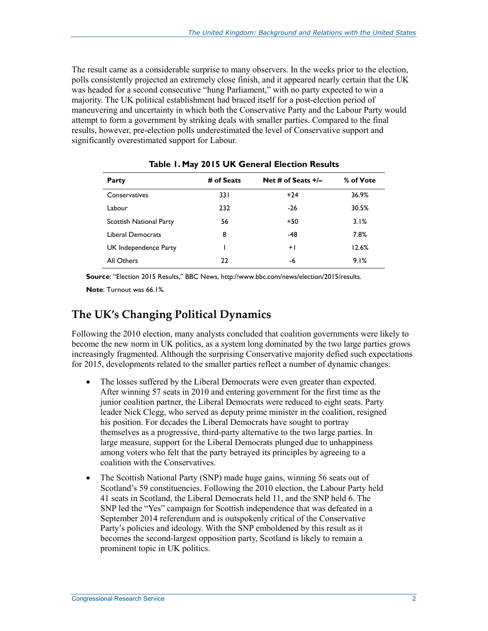The result came as a considerable surprise to many observers. In the weeks prior to the election, polls consistently projected an extremely close finish, and it appeared nearly certain that the UK was headed for a second consecutive "hung Parliament," with no party expected to win a majority. The UK political establishment had braced itself for a post-election period of maneuvering and uncertainty in which both the Conservative Party and the Labour Party would attempt to form a government by striking deals with smaller parties. Compared to the final results, however, pre-election polls underestimated the level of Conservative support and significantly overestimated support for Labour.

| Party                   | # of Seats | Net # of Seats $+/-$ | % of Vote |
|-------------------------|------------|----------------------|-----------|
| Conservatives           | 33 I       | $+24$                | 36.9%     |
| Labour                  | 232        | $-26$                | 30.5%     |
| Scottish National Party | 56         | $+50$                | 3.1%      |
| Liberal Democrats       | 8          | -48                  | 7.8%      |
| UK Independence Party   |            | $+1$                 | 12.6%     |
| All Others              | 22         | -6                   | 9.1%      |

**Table 1. May 2015 UK General Election Results** 

**Source**: "Election 2015 Results," BBC News, http://www.bbc.com/news/election/2015/results.

**Note**: Turnout was 66.1%.

#### **The UK's Changing Political Dynamics**

Following the 2010 election, many analysts concluded that coalition governments were likely to become the new norm in UK politics, as a system long dominated by the two large parties grows increasingly fragmented. Although the surprising Conservative majority defied such expectations for 2015, developments related to the smaller parties reflect a number of dynamic changes:

- The losses suffered by the Liberal Democrats were even greater than expected. After winning 57 seats in 2010 and entering government for the first time as the junior coalition partner, the Liberal Democrats were reduced to eight seats. Party leader Nick Clegg, who served as deputy prime minister in the coalition, resigned his position. For decades the Liberal Democrats have sought to portray themselves as a progressive, third-party alternative to the two large parties. In large measure, support for the Liberal Democrats plunged due to unhappiness among voters who felt that the party betrayed its principles by agreeing to a coalition with the Conservatives.
- The Scottish National Party (SNP) made huge gains, winning 56 seats out of Scotland's 59 constituencies. Following the 2010 election, the Labour Party held 41 seats in Scotland, the Liberal Democrats held 11, and the SNP held 6. The SNP led the "Yes" campaign for Scottish independence that was defeated in a September 2014 referendum and is outspokenly critical of the Conservative Party's policies and ideology. With the SNP emboldened by this result as it becomes the second-largest opposition party, Scotland is likely to remain a prominent topic in UK politics.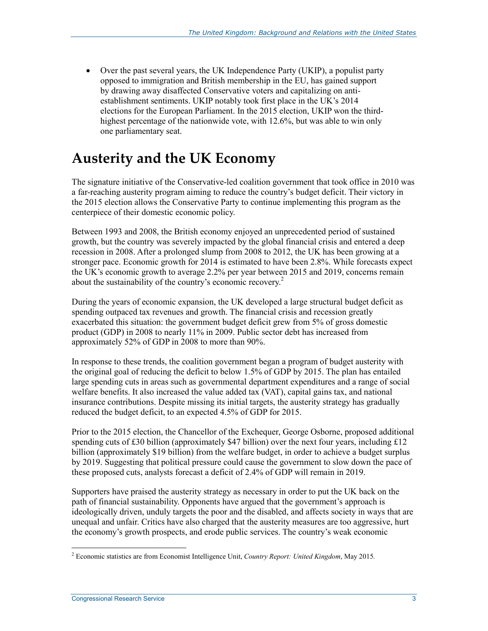• Over the past several years, the UK Independence Party (UKIP), a populist party opposed to immigration and British membership in the EU, has gained support by drawing away disaffected Conservative voters and capitalizing on antiestablishment sentiments. UKIP notably took first place in the UK's 2014 elections for the European Parliament. In the 2015 election, UKIP won the thirdhighest percentage of the nationwide vote, with 12.6%, but was able to win only one parliamentary seat.

# **Austerity and the UK Economy**

The signature initiative of the Conservative-led coalition government that took office in 2010 was a far-reaching austerity program aiming to reduce the country's budget deficit. Their victory in the 2015 election allows the Conservative Party to continue implementing this program as the centerpiece of their domestic economic policy.

Between 1993 and 2008, the British economy enjoyed an unprecedented period of sustained growth, but the country was severely impacted by the global financial crisis and entered a deep recession in 2008. After a prolonged slump from 2008 to 2012, the UK has been growing at a stronger pace. Economic growth for 2014 is estimated to have been 2.8%. While forecasts expect the UK's economic growth to average 2.2% per year between 2015 and 2019, concerns remain about the sustainability of the country's economic recovery. $2$ 

During the years of economic expansion, the UK developed a large structural budget deficit as spending outpaced tax revenues and growth. The financial crisis and recession greatly exacerbated this situation: the government budget deficit grew from 5% of gross domestic product (GDP) in 2008 to nearly 11% in 2009. Public sector debt has increased from approximately 52% of GDP in 2008 to more than 90%.

In response to these trends, the coalition government began a program of budget austerity with the original goal of reducing the deficit to below 1.5% of GDP by 2015. The plan has entailed large spending cuts in areas such as governmental department expenditures and a range of social welfare benefits. It also increased the value added tax (VAT), capital gains tax, and national insurance contributions. Despite missing its initial targets, the austerity strategy has gradually reduced the budget deficit, to an expected 4.5% of GDP for 2015.

Prior to the 2015 election, the Chancellor of the Exchequer, George Osborne, proposed additional spending cuts of £30 billion (approximately \$47 billion) over the next four years, including  $£12$ billion (approximately \$19 billion) from the welfare budget, in order to achieve a budget surplus by 2019. Suggesting that political pressure could cause the government to slow down the pace of these proposed cuts, analysts forecast a deficit of 2.4% of GDP will remain in 2019.

Supporters have praised the austerity strategy as necessary in order to put the UK back on the path of financial sustainability. Opponents have argued that the government's approach is ideologically driven, unduly targets the poor and the disabled, and affects society in ways that are unequal and unfair. Critics have also charged that the austerity measures are too aggressive, hurt the economy's growth prospects, and erode public services. The country's weak economic

 2 Economic statistics are from Economist Intelligence Unit, *Country Report: United Kingdom*, May 2015*.*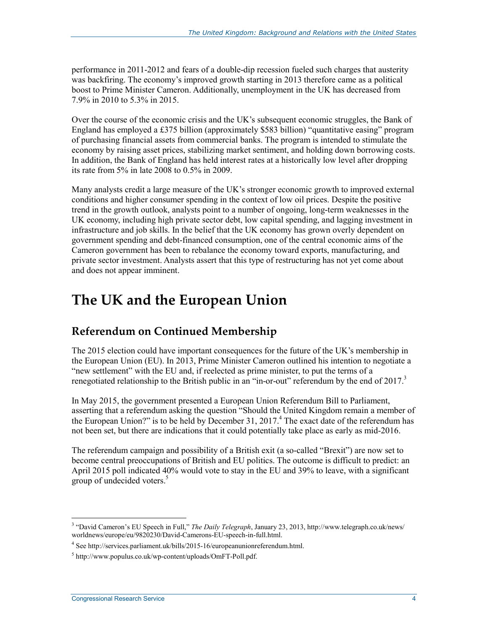performance in 2011-2012 and fears of a double-dip recession fueled such charges that austerity was backfiring. The economy's improved growth starting in 2013 therefore came as a political boost to Prime Minister Cameron. Additionally, unemployment in the UK has decreased from 7.9% in 2010 to 5.3% in 2015.

Over the course of the economic crisis and the UK's subsequent economic struggles, the Bank of England has employed a £375 billion (approximately \$583 billion) "quantitative easing" program of purchasing financial assets from commercial banks. The program is intended to stimulate the economy by raising asset prices, stabilizing market sentiment, and holding down borrowing costs. In addition, the Bank of England has held interest rates at a historically low level after dropping its rate from 5% in late 2008 to 0.5% in 2009.

Many analysts credit a large measure of the UK's stronger economic growth to improved external conditions and higher consumer spending in the context of low oil prices. Despite the positive trend in the growth outlook, analysts point to a number of ongoing, long-term weaknesses in the UK economy, including high private sector debt, low capital spending, and lagging investment in infrastructure and job skills. In the belief that the UK economy has grown overly dependent on government spending and debt-financed consumption, one of the central economic aims of the Cameron government has been to rebalance the economy toward exports, manufacturing, and private sector investment. Analysts assert that this type of restructuring has not yet come about and does not appear imminent.

### **The UK and the European Union**

### **Referendum on Continued Membership**

The 2015 election could have important consequences for the future of the UK's membership in the European Union (EU). In 2013, Prime Minister Cameron outlined his intention to negotiate a "new settlement" with the EU and, if reelected as prime minister, to put the terms of a renegotiated relationship to the British public in an "in-or-out" referendum by the end of  $2017<sup>3</sup>$ 

In May 2015, the government presented a European Union Referendum Bill to Parliament, asserting that a referendum asking the question "Should the United Kingdom remain a member of the European Union?" is to be held by December 31, 2017.<sup>4</sup> The exact date of the referendum has not been set, but there are indications that it could potentially take place as early as mid-2016.

The referendum campaign and possibility of a British exit (a so-called "Brexit") are now set to become central preoccupations of British and EU politics. The outcome is difficult to predict: an April 2015 poll indicated 40% would vote to stay in the EU and 39% to leave, with a significant group of undecided voters.<sup>5</sup>

<sup>3</sup> "David Cameron's EU Speech in Full," *The Daily Telegraph*, January 23, 2013, http://www.telegraph.co.uk/news/ worldnews/europe/eu/9820230/David-Camerons-EU-speech-in-full.html.

<sup>4</sup> See http://services.parliament.uk/bills/2015-16/europeanunionreferendum.html.

<sup>5</sup> http://www.populus.co.uk/wp-content/uploads/OmFT-Poll.pdf.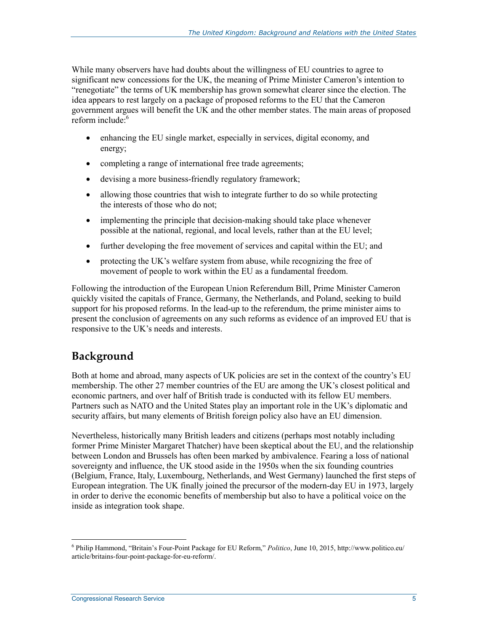While many observers have had doubts about the willingness of EU countries to agree to significant new concessions for the UK, the meaning of Prime Minister Cameron's intention to "renegotiate" the terms of UK membership has grown somewhat clearer since the election. The idea appears to rest largely on a package of proposed reforms to the EU that the Cameron government argues will benefit the UK and the other member states. The main areas of proposed reform include:<sup>6</sup>

- enhancing the EU single market, especially in services, digital economy, and energy;
- completing a range of international free trade agreements;
- devising a more business-friendly regulatory framework;
- allowing those countries that wish to integrate further to do so while protecting the interests of those who do not;
- implementing the principle that decision-making should take place whenever possible at the national, regional, and local levels, rather than at the EU level;
- further developing the free movement of services and capital within the EU; and
- protecting the UK's welfare system from abuse, while recognizing the free of movement of people to work within the EU as a fundamental freedom.

Following the introduction of the European Union Referendum Bill, Prime Minister Cameron quickly visited the capitals of France, Germany, the Netherlands, and Poland, seeking to build support for his proposed reforms. In the lead-up to the referendum, the prime minister aims to present the conclusion of agreements on any such reforms as evidence of an improved EU that is responsive to the UK's needs and interests.

### **Background**

Both at home and abroad, many aspects of UK policies are set in the context of the country's EU membership. The other 27 member countries of the EU are among the UK's closest political and economic partners, and over half of British trade is conducted with its fellow EU members. Partners such as NATO and the United States play an important role in the UK's diplomatic and security affairs, but many elements of British foreign policy also have an EU dimension.

Nevertheless, historically many British leaders and citizens (perhaps most notably including former Prime Minister Margaret Thatcher) have been skeptical about the EU, and the relationship between London and Brussels has often been marked by ambivalence. Fearing a loss of national sovereignty and influence, the UK stood aside in the 1950s when the six founding countries (Belgium, France, Italy, Luxembourg, Netherlands, and West Germany) launched the first steps of European integration. The UK finally joined the precursor of the modern-day EU in 1973, largely in order to derive the economic benefits of membership but also to have a political voice on the inside as integration took shape.

 6 Philip Hammond, "Britain's Four-Point Package for EU Reform," *Politico*, June 10, 2015, http://www.politico.eu/ article/britains-four-point-package-for-eu-reform/.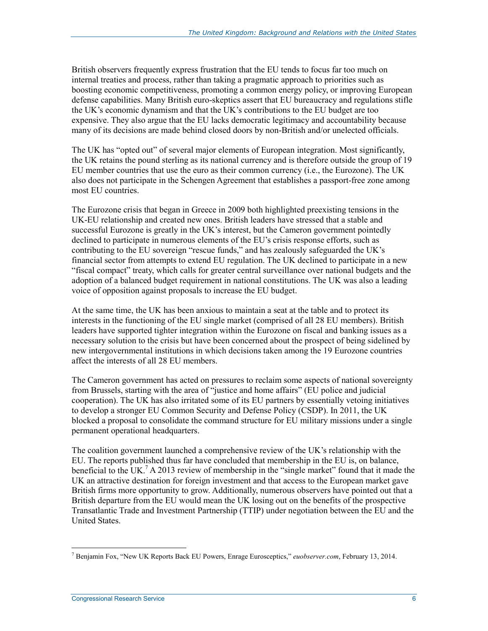British observers frequently express frustration that the EU tends to focus far too much on internal treaties and process, rather than taking a pragmatic approach to priorities such as boosting economic competitiveness, promoting a common energy policy, or improving European defense capabilities. Many British euro-skeptics assert that EU bureaucracy and regulations stifle the UK's economic dynamism and that the UK's contributions to the EU budget are too expensive. They also argue that the EU lacks democratic legitimacy and accountability because many of its decisions are made behind closed doors by non-British and/or unelected officials.

The UK has "opted out" of several major elements of European integration. Most significantly, the UK retains the pound sterling as its national currency and is therefore outside the group of 19 EU member countries that use the euro as their common currency (i.e., the Eurozone). The UK also does not participate in the Schengen Agreement that establishes a passport-free zone among most EU countries.

The Eurozone crisis that began in Greece in 2009 both highlighted preexisting tensions in the UK-EU relationship and created new ones. British leaders have stressed that a stable and successful Eurozone is greatly in the UK's interest, but the Cameron government pointedly declined to participate in numerous elements of the EU's crisis response efforts, such as contributing to the EU sovereign "rescue funds," and has zealously safeguarded the UK's financial sector from attempts to extend EU regulation. The UK declined to participate in a new "fiscal compact" treaty, which calls for greater central surveillance over national budgets and the adoption of a balanced budget requirement in national constitutions. The UK was also a leading voice of opposition against proposals to increase the EU budget.

At the same time, the UK has been anxious to maintain a seat at the table and to protect its interests in the functioning of the EU single market (comprised of all 28 EU members). British leaders have supported tighter integration within the Eurozone on fiscal and banking issues as a necessary solution to the crisis but have been concerned about the prospect of being sidelined by new intergovernmental institutions in which decisions taken among the 19 Eurozone countries affect the interests of all 28 EU members.

The Cameron government has acted on pressures to reclaim some aspects of national sovereignty from Brussels, starting with the area of "justice and home affairs" (EU police and judicial cooperation). The UK has also irritated some of its EU partners by essentially vetoing initiatives to develop a stronger EU Common Security and Defense Policy (CSDP). In 2011, the UK blocked a proposal to consolidate the command structure for EU military missions under a single permanent operational headquarters.

The coalition government launched a comprehensive review of the UK's relationship with the EU. The reports published thus far have concluded that membership in the EU is, on balance, beneficial to the UK.<sup>7</sup> A 2013 review of membership in the "single market" found that it made the UK an attractive destination for foreign investment and that access to the European market gave British firms more opportunity to grow. Additionally, numerous observers have pointed out that a British departure from the EU would mean the UK losing out on the benefits of the prospective Transatlantic Trade and Investment Partnership (TTIP) under negotiation between the EU and the United States.

<sup>&</sup>lt;u>.</u> 7 Benjamin Fox, "New UK Reports Back EU Powers, Enrage Eurosceptics," *euobserver.com*, February 13, 2014.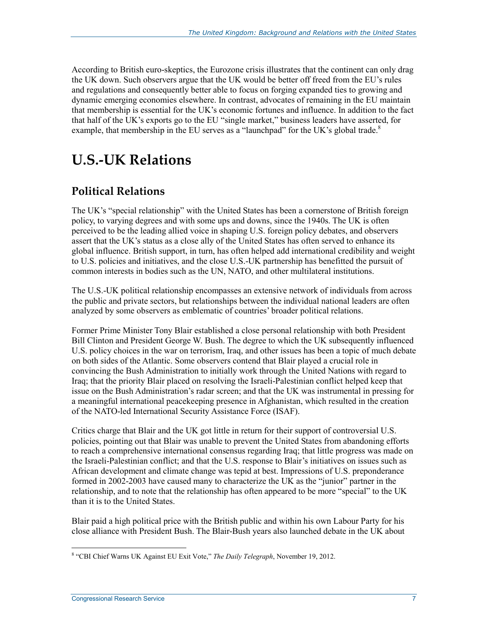According to British euro-skeptics, the Eurozone crisis illustrates that the continent can only drag the UK down. Such observers argue that the UK would be better off freed from the EU's rules and regulations and consequently better able to focus on forging expanded ties to growing and dynamic emerging economies elsewhere. In contrast, advocates of remaining in the EU maintain that membership is essential for the UK's economic fortunes and influence. In addition to the fact that half of the UK's exports go to the EU "single market," business leaders have asserted, for example, that membership in the EU serves as a "launchpad" for the UK's global trade.<sup>8</sup>

## **U.S.-UK Relations**

### **Political Relations**

The UK's "special relationship" with the United States has been a cornerstone of British foreign policy, to varying degrees and with some ups and downs, since the 1940s. The UK is often perceived to be the leading allied voice in shaping U.S. foreign policy debates, and observers assert that the UK's status as a close ally of the United States has often served to enhance its global influence. British support, in turn, has often helped add international credibility and weight to U.S. policies and initiatives, and the close U.S.-UK partnership has benefitted the pursuit of common interests in bodies such as the UN, NATO, and other multilateral institutions.

The U.S.-UK political relationship encompasses an extensive network of individuals from across the public and private sectors, but relationships between the individual national leaders are often analyzed by some observers as emblematic of countries' broader political relations.

Former Prime Minister Tony Blair established a close personal relationship with both President Bill Clinton and President George W. Bush. The degree to which the UK subsequently influenced U.S. policy choices in the war on terrorism, Iraq, and other issues has been a topic of much debate on both sides of the Atlantic. Some observers contend that Blair played a crucial role in convincing the Bush Administration to initially work through the United Nations with regard to Iraq; that the priority Blair placed on resolving the Israeli-Palestinian conflict helped keep that issue on the Bush Administration's radar screen; and that the UK was instrumental in pressing for a meaningful international peacekeeping presence in Afghanistan, which resulted in the creation of the NATO-led International Security Assistance Force (ISAF).

Critics charge that Blair and the UK got little in return for their support of controversial U.S. policies, pointing out that Blair was unable to prevent the United States from abandoning efforts to reach a comprehensive international consensus regarding Iraq; that little progress was made on the Israeli-Palestinian conflict; and that the U.S. response to Blair's initiatives on issues such as African development and climate change was tepid at best. Impressions of U.S. preponderance formed in 2002-2003 have caused many to characterize the UK as the "junior" partner in the relationship, and to note that the relationship has often appeared to be more "special" to the UK than it is to the United States.

Blair paid a high political price with the British public and within his own Labour Party for his close alliance with President Bush. The Blair-Bush years also launched debate in the UK about

 8 "CBI Chief Warns UK Against EU Exit Vote," *The Daily Telegraph*, November 19, 2012.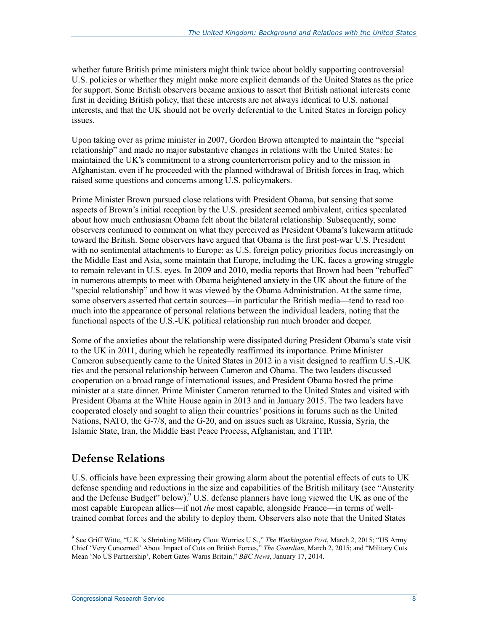whether future British prime ministers might think twice about boldly supporting controversial U.S. policies or whether they might make more explicit demands of the United States as the price for support. Some British observers became anxious to assert that British national interests come first in deciding British policy, that these interests are not always identical to U.S. national interests, and that the UK should not be overly deferential to the United States in foreign policy issues.

Upon taking over as prime minister in 2007, Gordon Brown attempted to maintain the "special relationship" and made no major substantive changes in relations with the United States: he maintained the UK's commitment to a strong counterterrorism policy and to the mission in Afghanistan, even if he proceeded with the planned withdrawal of British forces in Iraq, which raised some questions and concerns among U.S. policymakers.

Prime Minister Brown pursued close relations with President Obama, but sensing that some aspects of Brown's initial reception by the U.S. president seemed ambivalent, critics speculated about how much enthusiasm Obama felt about the bilateral relationship. Subsequently, some observers continued to comment on what they perceived as President Obama's lukewarm attitude toward the British. Some observers have argued that Obama is the first post-war U.S. President with no sentimental attachments to Europe: as U.S. foreign policy priorities focus increasingly on the Middle East and Asia, some maintain that Europe, including the UK, faces a growing struggle to remain relevant in U.S. eyes. In 2009 and 2010, media reports that Brown had been "rebuffed" in numerous attempts to meet with Obama heightened anxiety in the UK about the future of the "special relationship" and how it was viewed by the Obama Administration. At the same time, some observers asserted that certain sources—in particular the British media—tend to read too much into the appearance of personal relations between the individual leaders, noting that the functional aspects of the U.S.-UK political relationship run much broader and deeper.

Some of the anxieties about the relationship were dissipated during President Obama's state visit to the UK in 2011, during which he repeatedly reaffirmed its importance. Prime Minister Cameron subsequently came to the United States in 2012 in a visit designed to reaffirm U.S.-UK ties and the personal relationship between Cameron and Obama. The two leaders discussed cooperation on a broad range of international issues, and President Obama hosted the prime minister at a state dinner. Prime Minister Cameron returned to the United States and visited with President Obama at the White House again in 2013 and in January 2015. The two leaders have cooperated closely and sought to align their countries' positions in forums such as the United Nations, NATO, the G-7/8, and the G-20, and on issues such as Ukraine, Russia, Syria, the Islamic State, Iran, the Middle East Peace Process, Afghanistan, and TTIP.

### **Defense Relations**

U.S. officials have been expressing their growing alarm about the potential effects of cuts to UK defense spending and reductions in the size and capabilities of the British military (see "Austerity and the Defense Budget" below).<sup>9</sup> U.S. defense planners have long viewed the UK as one of the most capable European allies—if not *the* most capable, alongside France—in terms of welltrained combat forces and the ability to deploy them. Observers also note that the United States

 9 See Griff Witte, "U.K.'s Shrinking Military Clout Worries U.S.," *The Washington Post*, March 2, 2015; "US Army Chief 'Very Concerned' About Impact of Cuts on British Forces," *The Guardian*, March 2, 2015; and "Military Cuts Mean 'No US Partnership', Robert Gates Warns Britain," *BBC News*, January 17, 2014.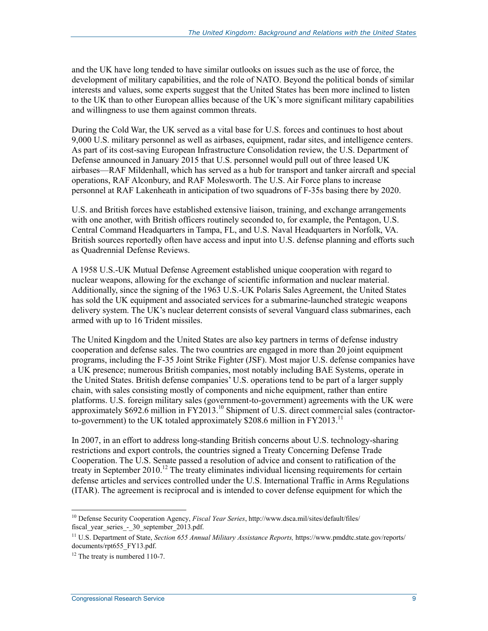and the UK have long tended to have similar outlooks on issues such as the use of force, the development of military capabilities, and the role of NATO. Beyond the political bonds of similar interests and values, some experts suggest that the United States has been more inclined to listen to the UK than to other European allies because of the UK's more significant military capabilities and willingness to use them against common threats.

During the Cold War, the UK served as a vital base for U.S. forces and continues to host about 9,000 U.S. military personnel as well as airbases, equipment, radar sites, and intelligence centers. As part of its cost-saving European Infrastructure Consolidation review, the U.S. Department of Defense announced in January 2015 that U.S. personnel would pull out of three leased UK airbases—RAF Mildenhall, which has served as a hub for transport and tanker aircraft and special operations, RAF Alconbury, and RAF Molesworth. The U.S. Air Force plans to increase personnel at RAF Lakenheath in anticipation of two squadrons of F-35s basing there by 2020.

U.S. and British forces have established extensive liaison, training, and exchange arrangements with one another, with British officers routinely seconded to, for example, the Pentagon, U.S. Central Command Headquarters in Tampa, FL, and U.S. Naval Headquarters in Norfolk, VA. British sources reportedly often have access and input into U.S. defense planning and efforts such as Quadrennial Defense Reviews.

A 1958 U.S.-UK Mutual Defense Agreement established unique cooperation with regard to nuclear weapons, allowing for the exchange of scientific information and nuclear material. Additionally, since the signing of the 1963 U.S.-UK Polaris Sales Agreement, the United States has sold the UK equipment and associated services for a submarine-launched strategic weapons delivery system. The UK's nuclear deterrent consists of several Vanguard class submarines, each armed with up to 16 Trident missiles.

The United Kingdom and the United States are also key partners in terms of defense industry cooperation and defense sales. The two countries are engaged in more than 20 joint equipment programs, including the F-35 Joint Strike Fighter (JSF). Most major U.S. defense companies have a UK presence; numerous British companies, most notably including BAE Systems, operate in the United States. British defense companies' U.S. operations tend to be part of a larger supply chain, with sales consisting mostly of components and niche equipment, rather than entire platforms. U.S. foreign military sales (government-to-government) agreements with the UK were approximately \$692.6 million in FY2013.<sup>10</sup> Shipment of U.S. direct commercial sales (contractorto-government) to the UK totaled approximately \$208.6 million in  $FY2013$ .<sup>11</sup>

In 2007, in an effort to address long-standing British concerns about U.S. technology-sharing restrictions and export controls, the countries signed a Treaty Concerning Defense Trade Cooperation. The U.S. Senate passed a resolution of advice and consent to ratification of the treaty in September 2010.<sup>12</sup> The treaty eliminates individual licensing requirements for certain defense articles and services controlled under the U.S. International Traffic in Arms Regulations (ITAR). The agreement is reciprocal and is intended to cover defense equipment for which the

<sup>10</sup> Defense Security Cooperation Agency, *Fiscal Year Series*, http://www.dsca.mil/sites/default/files/ fiscal year series - 30 september 2013.pdf.

<sup>11</sup> U.S. Department of State, *Section 655 Annual Military Assistance Reports,* https://www.pmddtc.state.gov/reports/ documents/rpt655\_FY13.pdf.

<sup>&</sup>lt;sup>12</sup> The treaty is numbered 110-7.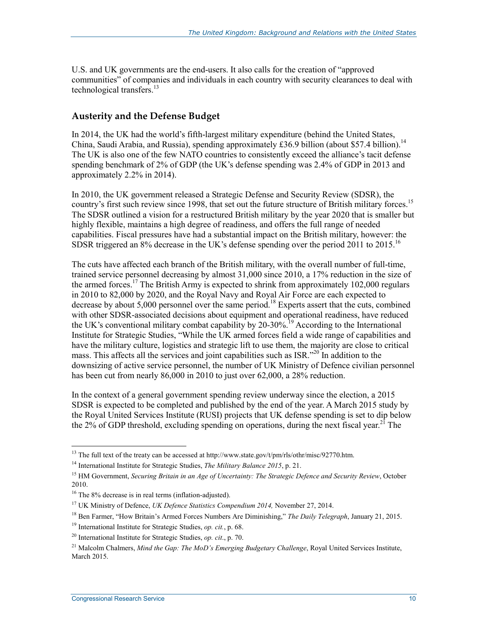U.S. and UK governments are the end-users. It also calls for the creation of "approved communities" of companies and individuals in each country with security clearances to deal with technological transfers. $13$ 

#### **Austerity and the Defense Budget**

In 2014, the UK had the world's fifth-largest military expenditure (behind the United States, China, Saudi Arabia, and Russia), spending approximately £36.9 billion (about \$57.4 billion).<sup>14</sup> The UK is also one of the few NATO countries to consistently exceed the alliance's tacit defense spending benchmark of 2% of GDP (the UK's defense spending was 2.4% of GDP in 2013 and approximately 2.2% in 2014).

In 2010, the UK government released a Strategic Defense and Security Review (SDSR), the country's first such review since 1998, that set out the future structure of British military forces.<sup>15</sup> The SDSR outlined a vision for a restructured British military by the year 2020 that is smaller but highly flexible, maintains a high degree of readiness, and offers the full range of needed capabilities. Fiscal pressures have had a substantial impact on the British military, however: the SDSR triggered an 8% decrease in the UK's defense spending over the period 2011 to 2015.<sup>16</sup>

The cuts have affected each branch of the British military, with the overall number of full-time, trained service personnel decreasing by almost 31,000 since 2010, a 17% reduction in the size of the armed forces.<sup>17</sup> The British Army is expected to shrink from approximately 102,000 regulars in 2010 to 82,000 by 2020, and the Royal Navy and Royal Air Force are each expected to decrease by about  $5,000$  personnel over the same period.<sup>18</sup> Experts assert that the cuts, combined with other SDSR-associated decisions about equipment and operational readiness, have reduced the UK's conventional military combat capability by 20-30%.19 According to the International Institute for Strategic Studies, "While the UK armed forces field a wide range of capabilities and have the military culture, logistics and strategic lift to use them, the majority are close to critical mass. This affects all the services and joint capabilities such as ISR."<sup>20</sup> In addition to the downsizing of active service personnel, the number of UK Ministry of Defence civilian personnel has been cut from nearly 86,000 in 2010 to just over 62,000, a 28% reduction.

In the context of a general government spending review underway since the election, a 2015 SDSR is expected to be completed and published by the end of the year. A March 2015 study by the Royal United Services Institute (RUSI) projects that UK defense spending is set to dip below the 2% of GDP threshold, excluding spending on operations, during the next fiscal year.<sup>21</sup> The

<u>.</u>

<sup>&</sup>lt;sup>13</sup> The full text of the treaty can be accessed at http://www.state.gov/t/pm/rls/othr/misc/92770.htm.

<sup>14</sup> International Institute for Strategic Studies, *The Military Balance 2015*, p. 21.

<sup>15</sup> HM Government, *Securing Britain in an Age of Uncertainty: The Strategic Defence and Security Review*, October 2010.

<sup>&</sup>lt;sup>16</sup> The 8% decrease is in real terms (inflation-adjusted).

<sup>17</sup> UK Ministry of Defence, *UK Defence Statistics Compendium 2014,* November 27, 2014.

<sup>18</sup> Ben Farmer, "How Britain's Armed Forces Numbers Are Diminishing," *The Daily Telegraph*, January 21, 2015.

<sup>19</sup> International Institute for Strategic Studies, *op. cit.*, p. 68.

<sup>20</sup> International Institute for Strategic Studies, *op. cit*., p. 70.

<sup>21</sup> Malcolm Chalmers, *Mind the Gap: The MoD's Emerging Budgetary Challenge*, Royal United Services Institute, March 2015.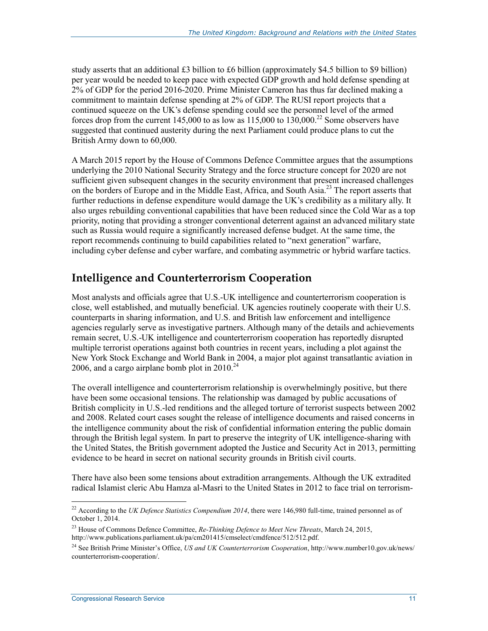study asserts that an additional £3 billion to £6 billion (approximately \$4.5 billion to \$9 billion) per year would be needed to keep pace with expected GDP growth and hold defense spending at 2% of GDP for the period 2016-2020. Prime Minister Cameron has thus far declined making a commitment to maintain defense spending at 2% of GDP. The RUSI report projects that a continued squeeze on the UK's defense spending could see the personnel level of the armed forces drop from the current 145,000 to as low as  $115,000$  to  $130,000$ .<sup>22</sup> Some observers have suggested that continued austerity during the next Parliament could produce plans to cut the British Army down to 60,000.

A March 2015 report by the House of Commons Defence Committee argues that the assumptions underlying the 2010 National Security Strategy and the force structure concept for 2020 are not sufficient given subsequent changes in the security environment that present increased challenges on the borders of Europe and in the Middle East, Africa, and South Asia.23 The report asserts that further reductions in defense expenditure would damage the UK's credibility as a military ally. It also urges rebuilding conventional capabilities that have been reduced since the Cold War as a top priority, noting that providing a stronger conventional deterrent against an advanced military state such as Russia would require a significantly increased defense budget. At the same time, the report recommends continuing to build capabilities related to "next generation" warfare, including cyber defense and cyber warfare, and combating asymmetric or hybrid warfare tactics.

### **Intelligence and Counterterrorism Cooperation**

Most analysts and officials agree that U.S.-UK intelligence and counterterrorism cooperation is close, well established, and mutually beneficial. UK agencies routinely cooperate with their U.S. counterparts in sharing information, and U.S. and British law enforcement and intelligence agencies regularly serve as investigative partners. Although many of the details and achievements remain secret, U.S.-UK intelligence and counterterrorism cooperation has reportedly disrupted multiple terrorist operations against both countries in recent years, including a plot against the New York Stock Exchange and World Bank in 2004, a major plot against transatlantic aviation in 2006, and a cargo airplane bomb plot in  $2010^{24}$ 

The overall intelligence and counterterrorism relationship is overwhelmingly positive, but there have been some occasional tensions. The relationship was damaged by public accusations of British complicity in U.S.-led renditions and the alleged torture of terrorist suspects between 2002 and 2008. Related court cases sought the release of intelligence documents and raised concerns in the intelligence community about the risk of confidential information entering the public domain through the British legal system. In part to preserve the integrity of UK intelligence-sharing with the United States, the British government adopted the Justice and Security Act in 2013, permitting evidence to be heard in secret on national security grounds in British civil courts.

There have also been some tensions about extradition arrangements. Although the UK extradited radical Islamist cleric Abu Hamza al-Masri to the United States in 2012 to face trial on terrorism-

<sup>&</sup>lt;sup>22</sup> According to the *UK Defence Statistics Compendium 2014*, there were 146,980 full-time, trained personnel as of October 1, 2014.

<sup>23</sup> House of Commons Defence Committee, *Re-Thinking Defence to Meet New Threats*, March 24, 2015, http://www.publications.parliament.uk/pa/cm201415/cmselect/cmdfence/512/512.pdf.

<sup>24</sup> See British Prime Minister's Office, *US and UK Counterterrorism Cooperation*, http://www.number10.gov.uk/news/ counterterrorism-cooperation/.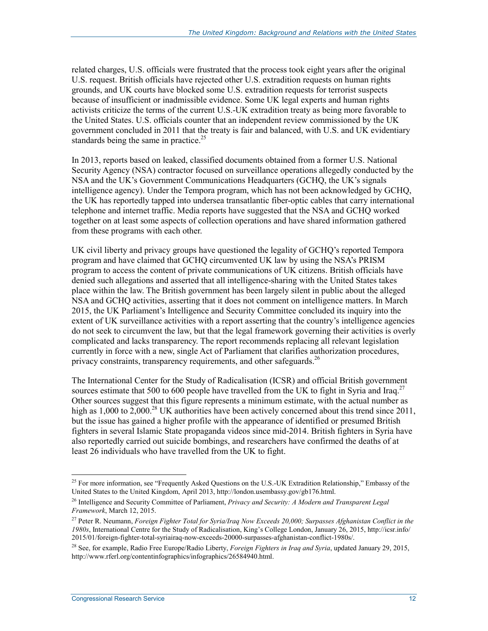related charges, U.S. officials were frustrated that the process took eight years after the original U.S. request. British officials have rejected other U.S. extradition requests on human rights grounds, and UK courts have blocked some U.S. extradition requests for terrorist suspects because of insufficient or inadmissible evidence. Some UK legal experts and human rights activists criticize the terms of the current U.S.-UK extradition treaty as being more favorable to the United States. U.S. officials counter that an independent review commissioned by the UK government concluded in 2011 that the treaty is fair and balanced, with U.S. and UK evidentiary standards being the same in practice.<sup>25</sup>

In 2013, reports based on leaked, classified documents obtained from a former U.S. National Security Agency (NSA) contractor focused on surveillance operations allegedly conducted by the NSA and the UK's Government Communications Headquarters (GCHQ, the UK's signals intelligence agency). Under the Tempora program, which has not been acknowledged by GCHQ, the UK has reportedly tapped into undersea transatlantic fiber-optic cables that carry international telephone and internet traffic. Media reports have suggested that the NSA and GCHQ worked together on at least some aspects of collection operations and have shared information gathered from these programs with each other.

UK civil liberty and privacy groups have questioned the legality of GCHQ's reported Tempora program and have claimed that GCHQ circumvented UK law by using the NSA's PRISM program to access the content of private communications of UK citizens. British officials have denied such allegations and asserted that all intelligence-sharing with the United States takes place within the law. The British government has been largely silent in public about the alleged NSA and GCHQ activities, asserting that it does not comment on intelligence matters. In March 2015, the UK Parliament's Intelligence and Security Committee concluded its inquiry into the extent of UK surveillance activities with a report asserting that the country's intelligence agencies do not seek to circumvent the law, but that the legal framework governing their activities is overly complicated and lacks transparency. The report recommends replacing all relevant legislation currently in force with a new, single Act of Parliament that clarifies authorization procedures, privacy constraints, transparency requirements, and other safeguards.<sup>26</sup>

The International Center for the Study of Radicalisation (ICSR) and official British government sources estimate that 500 to 600 people have travelled from the UK to fight in Syria and Iraq.<sup>27</sup> Other sources suggest that this figure represents a minimum estimate, with the actual number as high as 1,000 to 2,000.<sup>28</sup> UK authorities have been actively concerned about this trend since 2011, but the issue has gained a higher profile with the appearance of identified or presumed British fighters in several Islamic State propaganda videos since mid-2014. British fighters in Syria have also reportedly carried out suicide bombings, and researchers have confirmed the deaths of at least 26 individuals who have travelled from the UK to fight.

<sup>&</sup>lt;sup>25</sup> For more information, see "Frequently Asked Questions on the U.S.-UK Extradition Relationship," Embassy of the United States to the United Kingdom, April 2013, http://london.usembassy.gov/gb176.html.

<sup>26</sup> Intelligence and Security Committee of Parliament, *Privacy and Security: A Modern and Transparent Legal Framework*, March 12, 2015.

<sup>27</sup> Peter R. Neumann, *Foreign Fighter Total for Syria/Iraq Now Exceeds 20,000; Surpasses Afghanistan Conflict in the 1980s*, International Centre for the Study of Radicalisation, King's College London, January 26, 2015, http://icsr.info/ 2015/01/foreign-fighter-total-syriairaq-now-exceeds-20000-surpasses-afghanistan-conflict-1980s/.

<sup>28</sup> See, for example, Radio Free Europe/Radio Liberty, *Foreign Fighters in Iraq and Syria*, updated January 29, 2015, http://www.rferl.org/contentinfographics/infographics/26584940.html.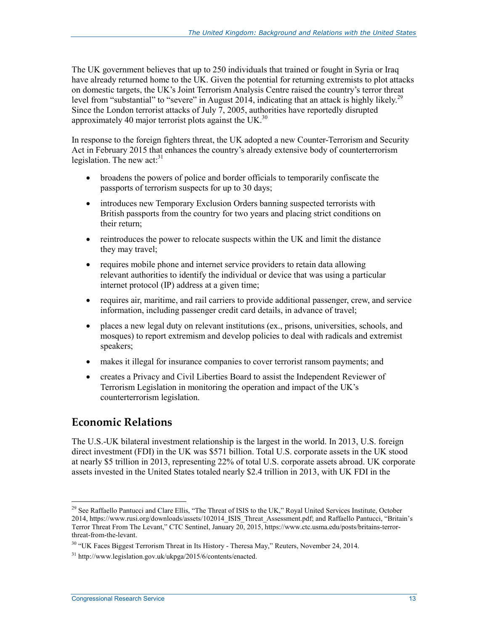The UK government believes that up to 250 individuals that trained or fought in Syria or Iraq have already returned home to the UK. Given the potential for returning extremists to plot attacks on domestic targets, the UK's Joint Terrorism Analysis Centre raised the country's terror threat level from "substantial" to "severe" in August 2014, indicating that an attack is highly likely.<sup>29</sup> Since the London terrorist attacks of July 7, 2005, authorities have reportedly disrupted approximately 40 major terrorist plots against the UK.<sup>30</sup>

In response to the foreign fighters threat, the UK adopted a new Counter-Terrorism and Security Act in February 2015 that enhances the country's already extensive body of counterterrorism legislation. The new  $act:31$ 

- broadens the powers of police and border officials to temporarily confiscate the passports of terrorism suspects for up to 30 days;
- introduces new Temporary Exclusion Orders banning suspected terrorists with British passports from the country for two years and placing strict conditions on their return;
- reintroduces the power to relocate suspects within the UK and limit the distance they may travel;
- requires mobile phone and internet service providers to retain data allowing relevant authorities to identify the individual or device that was using a particular internet protocol (IP) address at a given time;
- requires air, maritime, and rail carriers to provide additional passenger, crew, and service information, including passenger credit card details, in advance of travel;
- places a new legal duty on relevant institutions (ex., prisons, universities, schools, and mosques) to report extremism and develop policies to deal with radicals and extremist speakers;
- makes it illegal for insurance companies to cover terrorist ransom payments; and
- creates a Privacy and Civil Liberties Board to assist the Independent Reviewer of Terrorism Legislation in monitoring the operation and impact of the UK's counterterrorism legislation.

#### **Economic Relations**

The U.S.-UK bilateral investment relationship is the largest in the world. In 2013, U.S. foreign direct investment (FDI) in the UK was \$571 billion. Total U.S. corporate assets in the UK stood at nearly \$5 trillion in 2013, representing 22% of total U.S. corporate assets abroad. UK corporate assets invested in the United States totaled nearly \$2.4 trillion in 2013, with UK FDI in the

<sup>&</sup>lt;sup>29</sup> See Raffaello Pantucci and Clare Ellis, "The Threat of ISIS to the UK," Royal United Services Institute, October 2014, https://www.rusi.org/downloads/assets/102014\_ISIS\_Threat\_Assessment.pdf; and Raffaello Pantucci, "Britain's Terror Threat From The Levant," CTC Sentinel, January 20, 2015, https://www.ctc.usma.edu/posts/britains-terrorthreat-from-the-levant.

 $30$  "UK Faces Biggest Terrorism Threat in Its History - Theresa May," Reuters, November 24, 2014.

<sup>31</sup> http://www.legislation.gov.uk/ukpga/2015/6/contents/enacted.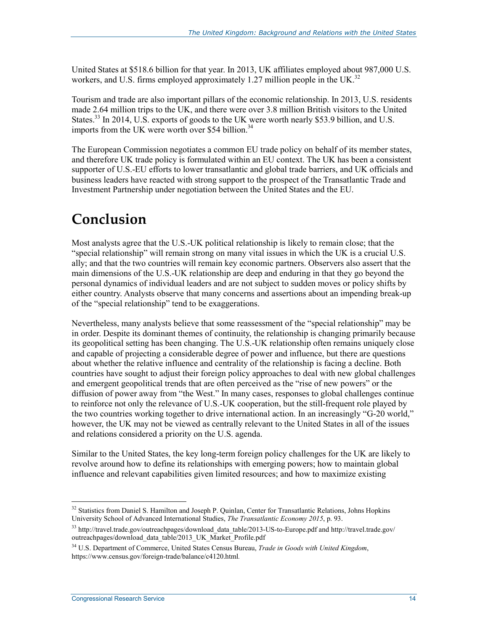United States at \$518.6 billion for that year. In 2013, UK affiliates employed about 987,000 U.S. workers, and U.S. firms employed approximately 1.27 million people in the UK.<sup>32</sup>

Tourism and trade are also important pillars of the economic relationship. In 2013, U.S. residents made 2.64 million trips to the UK, and there were over 3.8 million British visitors to the United States.<sup>33</sup> In 2014, U.S. exports of goods to the UK were worth nearly \$53.9 billion, and U.S. imports from the UK were worth over \$54 billion.<sup>34</sup>

The European Commission negotiates a common EU trade policy on behalf of its member states, and therefore UK trade policy is formulated within an EU context. The UK has been a consistent supporter of U.S.-EU efforts to lower transatlantic and global trade barriers, and UK officials and business leaders have reacted with strong support to the prospect of the Transatlantic Trade and Investment Partnership under negotiation between the United States and the EU.

## **Conclusion**

Most analysts agree that the U.S.-UK political relationship is likely to remain close; that the "special relationship" will remain strong on many vital issues in which the UK is a crucial U.S. ally; and that the two countries will remain key economic partners. Observers also assert that the main dimensions of the U.S.-UK relationship are deep and enduring in that they go beyond the personal dynamics of individual leaders and are not subject to sudden moves or policy shifts by either country. Analysts observe that many concerns and assertions about an impending break-up of the "special relationship" tend to be exaggerations.

Nevertheless, many analysts believe that some reassessment of the "special relationship" may be in order. Despite its dominant themes of continuity, the relationship is changing primarily because its geopolitical setting has been changing. The U.S.-UK relationship often remains uniquely close and capable of projecting a considerable degree of power and influence, but there are questions about whether the relative influence and centrality of the relationship is facing a decline. Both countries have sought to adjust their foreign policy approaches to deal with new global challenges and emergent geopolitical trends that are often perceived as the "rise of new powers" or the diffusion of power away from "the West." In many cases, responses to global challenges continue to reinforce not only the relevance of U.S.-UK cooperation, but the still-frequent role played by the two countries working together to drive international action. In an increasingly "G-20 world," however, the UK may not be viewed as centrally relevant to the United States in all of the issues and relations considered a priority on the U.S. agenda.

Similar to the United States, the key long-term foreign policy challenges for the UK are likely to revolve around how to define its relationships with emerging powers; how to maintain global influence and relevant capabilities given limited resources; and how to maximize existing

<sup>1</sup> <sup>32</sup> Statistics from Daniel S. Hamilton and Joseph P. Quinlan, Center for Transatlantic Relations, Johns Hopkins University School of Advanced International Studies, *The Transatlantic Economy 2015*, p. 93.

<sup>33</sup> http://travel.trade.gov/outreachpages/download\_data\_table/2013-US-to-Europe.pdf and http://travel.trade.gov/ outreachpages/download\_data\_table/2013\_UK\_Market\_Profile.pdf

<sup>34</sup> U.S. Department of Commerce, United States Census Bureau, *Trade in Goods with United Kingdom*, https://www.census.gov/foreign-trade/balance/c4120.html*.*